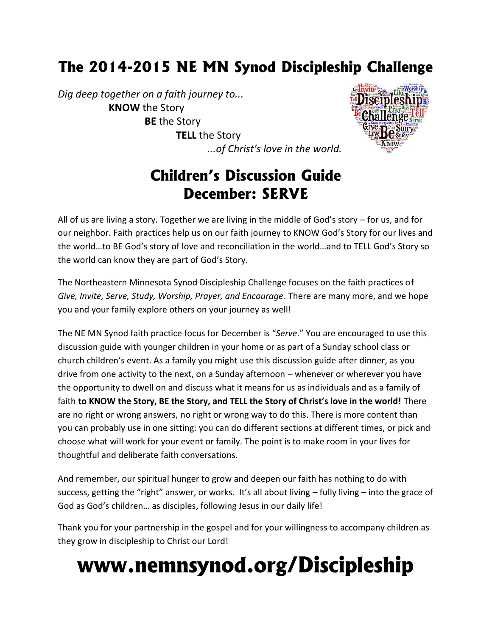# **The 2014-2015 NE MN Synod Discipleship Challenge**

*Dig deep together on a faith journey to...* **KNOW** the Story **BE** the Story **TELL** the Story *...of Christ's love in the world.*



## **Children's Discussion Guide December: SERVE**

All of us are living a story. Together we are living in the middle of God's story – for us, and for our neighbor. Faith practices help us on our faith journey to KNOW God's Story for our lives and the world…to BE God's story of love and reconciliation in the world…and to TELL God's Story so the world can know they are part of God's Story.

The Northeastern Minnesota Synod Discipleship Challenge focuses on the faith practices of *Give, Invite, Serve, Study, Worship, Prayer, and Encourage.* There are many more, and we hope you and your family explore others on your journey as well!

The NE MN Synod faith practice focus for December is "*Serve*." You are encouraged to use this discussion guide with younger children in your home or as part of a Sunday school class or church children's event. As a family you might use this discussion guide after dinner, as you drive from one activity to the next, on a Sunday afternoon – whenever or wherever you have the opportunity to dwell on and discuss what it means for us as individuals and as a family of faith **to KNOW the Story, BE the Story, and TELL the Story of Christ's love in the world!** There are no right or wrong answers, no right or wrong way to do this. There is more content than you can probably use in one sitting: you can do different sections at different times, or pick and choose what will work for your event or family. The point is to make room in your lives for thoughtful and deliberate faith conversations.

And remember, our spiritual hunger to grow and deepen our faith has nothing to do with success, getting the "right" answer, or works. It's all about living – fully living – into the grace of God as God's children… as disciples, following Jesus in our daily life!

Thank you for your partnership in the gospel and for your willingness to accompany children as they grow in discipleship to Christ our Lord!

# **www.nemnsynod.org/Discipleship**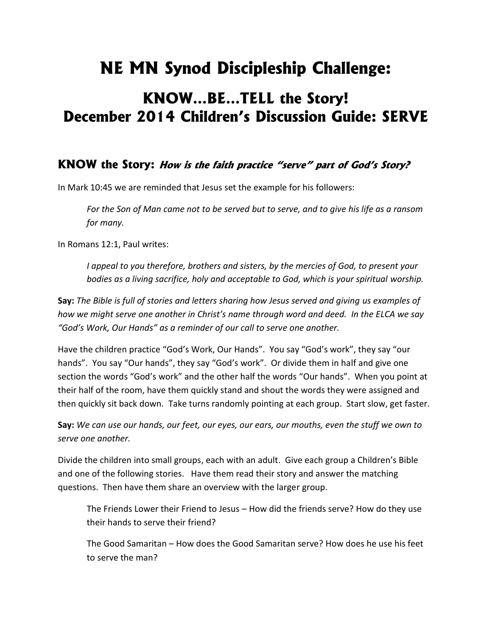# **NE MN Synod Discipleship Challenge:**

## **KNOW…BE…TELL the Story! December 2014 Children's Discussion Guide: SERVE**

### **KNOW the Story:** *How is the faith practice "serve" part of God's Story?*

In Mark 10:45 we are reminded that Jesus set the example for his followers:

*For the Son of Man came not to be served but to serve, and to give his life as a ransom for many.*

In Romans 12:1, Paul writes:

*I appeal to you therefore, brothers and sisters, by the mercies of God, to present your bodies as a living sacrifice, holy and acceptable to God, which is your spiritual worship.*

**Say:** *The Bible is full of stories and letters sharing how Jesus served and giving us examples of how we might serve one another in Christ's name through word and deed. In the ELCA we say "God's Work, Our Hands" as a reminder of our call to serve one another.*

Have the children practice "God's Work, Our Hands". You say "God's work", they say "our hands". You say "Our hands", they say "God's work". Or divide them in half and give one section the words "God's work" and the other half the words "Our hands". When you point at their half of the room, have them quickly stand and shout the words they were assigned and then quickly sit back down. Take turns randomly pointing at each group. Start slow, get faster.

**Say:** *We can use our hands, our feet, our eyes, our ears, our mouths, even the stuff we own to serve one another.*

Divide the children into small groups, each with an adult. Give each group a Children's Bible and one of the following stories. Have them read their story and answer the matching questions. Then have them share an overview with the larger group.

The Friends Lower their Friend to Jesus – How did the friends serve? How do they use their hands to serve their friend?

The Good Samaritan – How does the Good Samaritan serve? How does he use his feet to serve the man?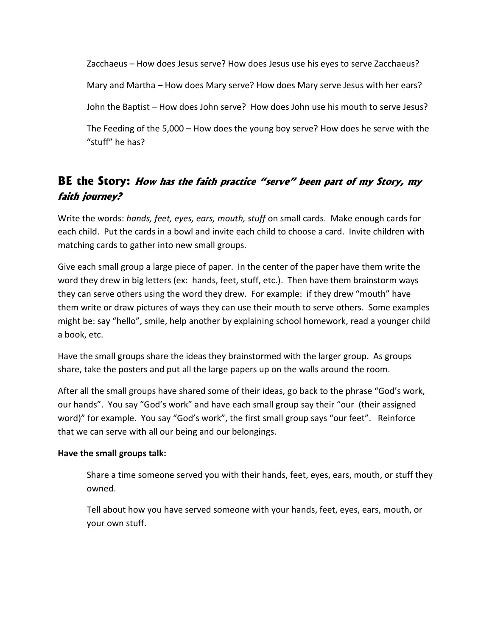Zacchaeus – How does Jesus serve? How does Jesus use his eyes to serve Zacchaeus? Mary and Martha – How does Mary serve? How does Mary serve Jesus with her ears? John the Baptist – How does John serve? How does John use his mouth to serve Jesus? The Feeding of the 5,000 – How does the young boy serve? How does he serve with the "stuff" he has?

### **BE the Story:** *How has the faith practice "serve" been part of my Story, my faith journey?*

Write the words: *hands, feet, eyes, ears, mouth, stuff* on small cards. Make enough cards for each child. Put the cards in a bowl and invite each child to choose a card. Invite children with matching cards to gather into new small groups.

Give each small group a large piece of paper. In the center of the paper have them write the word they drew in big letters (ex: hands, feet, stuff, etc.). Then have them brainstorm ways they can serve others using the word they drew. For example: if they drew "mouth" have them write or draw pictures of ways they can use their mouth to serve others. Some examples might be: say "hello", smile, help another by explaining school homework, read a younger child a book, etc.

Have the small groups share the ideas they brainstormed with the larger group. As groups share, take the posters and put all the large papers up on the walls around the room.

After all the small groups have shared some of their ideas, go back to the phrase "God's work, our hands". You say "God's work" and have each small group say their "our (their assigned word)" for example. You say "God's work", the first small group says "our feet". Reinforce that we can serve with all our being and our belongings.

#### **Have the small groups talk:**

Share a time someone served you with their hands, feet, eyes, ears, mouth, or stuff they owned.

Tell about how you have served someone with your hands, feet, eyes, ears, mouth, or your own stuff.